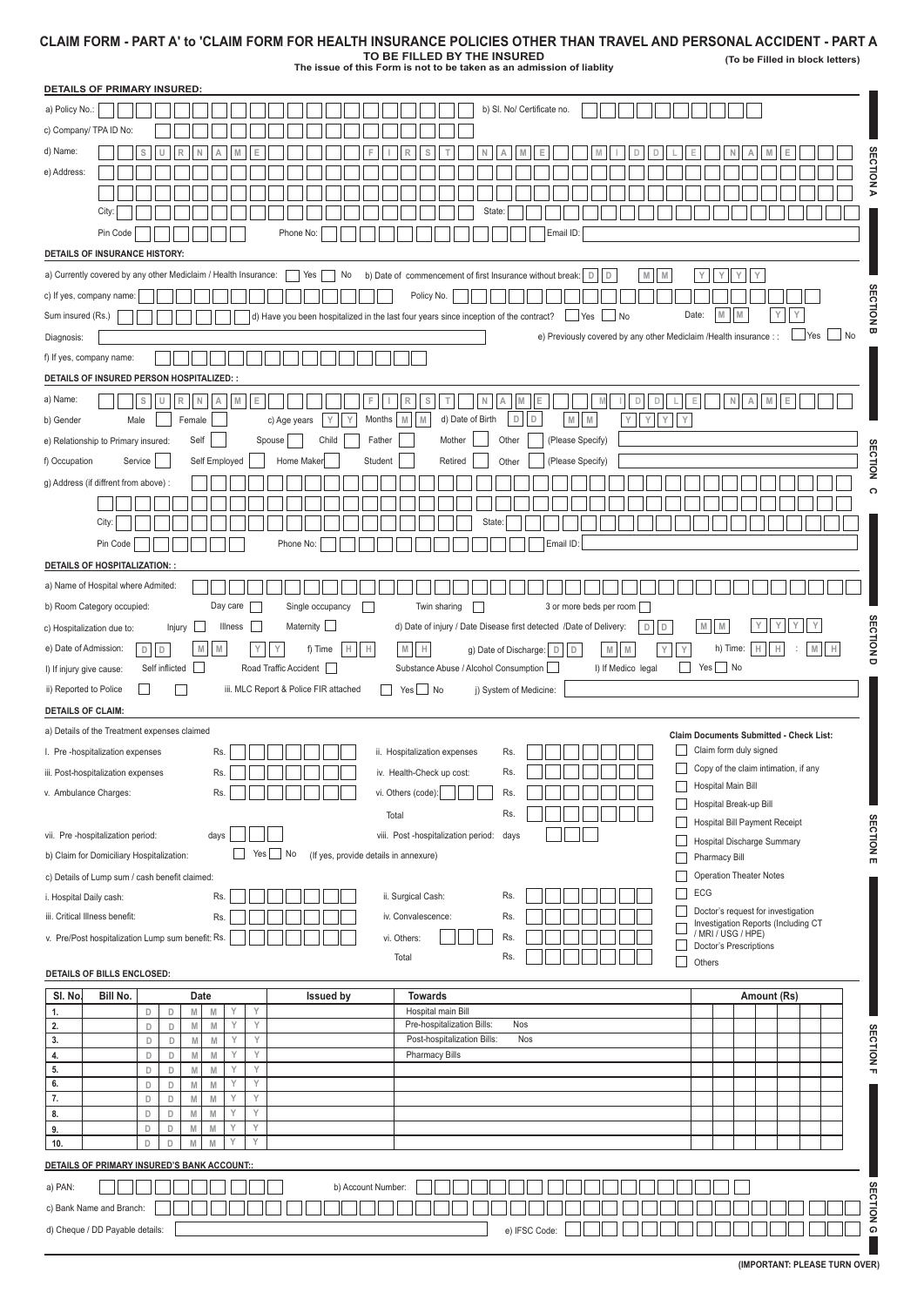## **CLAIM FORM - PART A' to 'CLAIM FORM FOR HEALTH INSURANCE POLICIES OTHER THAN TRAVEL AND PERSONAL ACCIDENT - PART A**

**TO BE FILLED BY THE INSURED The issue of this Form is not to be taken as an admission of liablity**

**(To be Filled in block letters)**

| <b>DETAILS OF PRIMARY INSURED:</b>                                                                                                                                                                      |                                                                                 |  |  |  |
|---------------------------------------------------------------------------------------------------------------------------------------------------------------------------------------------------------|---------------------------------------------------------------------------------|--|--|--|
| b) SI. No/ Certificate no.<br>a) Policy No.:                                                                                                                                                            |                                                                                 |  |  |  |
| c) Company/ TPA ID No:                                                                                                                                                                                  |                                                                                 |  |  |  |
| d) Name:<br>S<br>s<br>F                                                                                                                                                                                 |                                                                                 |  |  |  |
| e) Address:                                                                                                                                                                                             |                                                                                 |  |  |  |
|                                                                                                                                                                                                         | Z<br>D                                                                          |  |  |  |
| City:<br>State                                                                                                                                                                                          |                                                                                 |  |  |  |
| Pin Code<br>Phone No:<br>Email ID:                                                                                                                                                                      |                                                                                 |  |  |  |
| <b>DETAILS OF INSURANCE HISTORY:</b>                                                                                                                                                                    |                                                                                 |  |  |  |
| a) Currently covered by any other Mediclaim / Health Insurance:<br>$\sqsupset$ Yes<br>No<br>b) Date of commencement of first Insurance without break:   D  <br>M<br>M<br>$\overline{D}$                 | Υ<br>Υ<br>Υ<br>Y                                                                |  |  |  |
| c) If yes, company name:<br>Policy No.                                                                                                                                                                  |                                                                                 |  |  |  |
| Sum insured (Rs.)<br>$\Box$ No<br>d) Have you been hospitalized in the last four years since inception of the contract?<br>$\Box$ Yes                                                                   | $\mathbb M$<br>Υ<br>M<br>Date:<br>Υ<br>⋚<br>α                                   |  |  |  |
| e) Previously covered by any other Mediclaim /Health insurance : :<br>Diagnosis:                                                                                                                        | No<br>$\mathsf{Yes}$                                                            |  |  |  |
| f) If yes, company name:                                                                                                                                                                                |                                                                                 |  |  |  |
| DETAILS OF INSURED PERSON HOSPITALIZED: :                                                                                                                                                               |                                                                                 |  |  |  |
| a) Name:<br>$\mathbb S$<br>$\mathbb R$<br>N<br>${\mathbb M}$<br>$\mathsf E$<br>U<br>F.<br>S<br>M<br>E<br>D<br>$\mathbb D$<br>Α<br>T.<br>N<br>A<br>R<br>M                                                | E<br>$\begin{array}{c} \square \end{array}$                                     |  |  |  |
| $\mathsf D$<br>D<br>$\mathbb M$<br>Y<br>M<br>d) Date of Birth<br>${\mathbb M}$<br>YYY<br>Male<br>Female<br>Y<br>Y<br>Months<br>M<br>b) Gender<br>c) Age years                                           |                                                                                 |  |  |  |
| Child<br>Mother<br>(Please Specify)<br>Self<br>Spouse<br>Father<br>Other<br>e) Relationship to Primary insured:                                                                                         | Ë                                                                               |  |  |  |
| Retired<br>(Please Specify)<br>f) Occupation<br>Service<br>Self Employed<br>Home Maker<br>Student<br>Other                                                                                              | Š                                                                               |  |  |  |
| g) Address (if diffrent from above) :                                                                                                                                                                   | $\epsilon$                                                                      |  |  |  |
| City:<br><b>State</b>                                                                                                                                                                                   |                                                                                 |  |  |  |
| Pin Code<br>Email ID:<br>Phone No:                                                                                                                                                                      |                                                                                 |  |  |  |
| <b>DETAILS OF HOSPITALIZATION:</b>                                                                                                                                                                      |                                                                                 |  |  |  |
| a) Name of Hospital where Admited:                                                                                                                                                                      |                                                                                 |  |  |  |
| Day care<br>Single occupancy<br>3 or more beds per room<br>b) Room Category occupied:<br>Twin sharing<br>n l<br>$\mathbf{I}$                                                                            |                                                                                 |  |  |  |
| Maternity $\Box$<br>Illness<br>$\Box$<br>d) Date of injury / Date Disease first detected /Date of Delivery:<br>$\mathsf D$<br>$\mathbf{L}$<br>D<br>Injury<br>c) Hospitalization due to:                 | $\mathbb M$<br>Y<br>Υ<br>$\mathbb M$                                            |  |  |  |
| $\mathbb M$<br>${\sf M}$<br>$\mathbbmss{M}$ . $\mathbbmss{H}$<br>$\mathbbmss{M}$<br>e) Date of Admission:<br>$D$ $D$<br>$\mathbb H$<br>Iн<br>Y<br>f) Time<br>g) Date of Discharge:   D  <br>$\mathbb D$ | <b>CINOL</b><br>h) Time:<br>$\mathbb H$<br>$\mathbb H$<br>$\mathbb H$<br>M<br>Y |  |  |  |
| Self inflicted U<br>Road Traffic Accident<br>Substance Abuse / Alcohol Consumption<br>I) If Medico legal<br>I) If injury give cause:                                                                    | $Yes \fbox{No}$<br>$\mathsf{L}$                                                 |  |  |  |
| Yes No<br>iii. MLC Report & Police FIR attached<br>j) System of Medicine:<br>ii) Reported to Police<br>H<br>L                                                                                           |                                                                                 |  |  |  |
|                                                                                                                                                                                                         |                                                                                 |  |  |  |
| <b>DETAILS OF CLAIM:</b>                                                                                                                                                                                |                                                                                 |  |  |  |
| a) Details of the Treatment expenses claimed                                                                                                                                                            | <b>Claim Documents Submitted - Check List:</b>                                  |  |  |  |
| ii. Hospitalization expenses<br>I. Pre-hospitalization expenses<br>Rs.<br>Rs.                                                                                                                           | Claim form duly signed                                                          |  |  |  |
| iii. Post-hospitalization expenses<br>Rs.<br>iv. Health-Check up cost:<br>Ks.                                                                                                                           | Copy of the claim intimation, if any                                            |  |  |  |
| vi. Others (code):<br>Rs.<br>v. Ambulance Charges:<br>Rs.                                                                                                                                               | Hospital Main Bill                                                              |  |  |  |
| Rs.<br>Total                                                                                                                                                                                            | Hospital Break-up Bill<br>Hospital Bill Payment Receipt                         |  |  |  |
| vii. Pre -hospitalization period:<br>viii. Post -hospitalization period:<br>days<br>days                                                                                                                | Hospital Discharge Summary                                                      |  |  |  |
| Yes No<br>(If yes, provide details in annexure)<br>b) Claim for Domiciliary Hospitalization:                                                                                                            | <b>SECTIONE</b><br>Pharmacy Bill                                                |  |  |  |
| c) Details of Lump sum / cash benefit claimed:                                                                                                                                                          | <b>Operation Theater Notes</b>                                                  |  |  |  |
| Rs.<br>Rs.<br>ii. Surgical Cash:<br>i. Hospital Daily cash:                                                                                                                                             | ECG<br>Doctor's request for investigation                                       |  |  |  |
| iii. Critical Illness benefit:<br>Rs.<br>iv. Convalescence:<br>Rs.                                                                                                                                      | Investigation Reports (Including CT                                             |  |  |  |
| Rs.<br>v. Pre/Post hospitalization Lump sum benefit: Rs.<br>vi. Others:                                                                                                                                 | / MRI / USG / HPE)<br>Doctor's Prescriptions                                    |  |  |  |
| Total<br>Rs.<br>DETAILS OF BILLS ENCLOSED:                                                                                                                                                              | П<br>Others                                                                     |  |  |  |
| SI. No.<br><b>Issued by</b><br>Bill No.<br>Date<br><b>Towards</b>                                                                                                                                       | Amount (Rs)                                                                     |  |  |  |
| Y<br>Υ<br>Hospital main Bill<br>$\mathsf D$<br>$\mathsf D$<br>M<br>${\sf M}$<br>1.                                                                                                                      |                                                                                 |  |  |  |
| Y<br>Υ<br>Pre-hospitalization Bills:<br>2.<br>$\mathbb N$<br>$\mathbb N$<br>Nos<br>D<br>D<br>3.<br>Y<br>Υ<br>Post-hospitalization Bills:<br>Nos<br>$\mathsf D$<br>${\sf I\!M}$<br>D<br>M                |                                                                                 |  |  |  |
| Y<br>Υ<br>D<br><b>Pharmacy Bills</b><br>$\mathsf D$<br>M<br>${\sf M}$<br>4.                                                                                                                             | <b>SECTION</b>                                                                  |  |  |  |
| Υ<br>5.<br>Υ<br>D<br>$\mathsf D$<br>M<br>M<br>6.<br>Y<br>Υ<br>${\sf M}$<br>D<br>D<br>M                                                                                                                  |                                                                                 |  |  |  |
| 7.<br>Y<br>M<br>Υ<br>D<br>D<br>M                                                                                                                                                                        |                                                                                 |  |  |  |
| Υ<br>Υ<br>8.<br>D<br>D<br>M<br>$\mathbb M$<br>Υ<br>Υ<br>M<br>${\sf I\!M}$<br>D<br>D                                                                                                                     |                                                                                 |  |  |  |
| 9.<br>Υ<br>Y<br>D<br>D<br>10.<br>M<br>M                                                                                                                                                                 |                                                                                 |  |  |  |
| DETAILS OF PRIMARY INSURED'S BANK ACCOUNT::                                                                                                                                                             |                                                                                 |  |  |  |
| a) PAN:<br>b) Account Number:                                                                                                                                                                           |                                                                                 |  |  |  |
| c) Bank Name and Branch:                                                                                                                                                                                | <b>IION</b>                                                                     |  |  |  |

**(IMPORTANT: PLEASE TURN OVER)**

L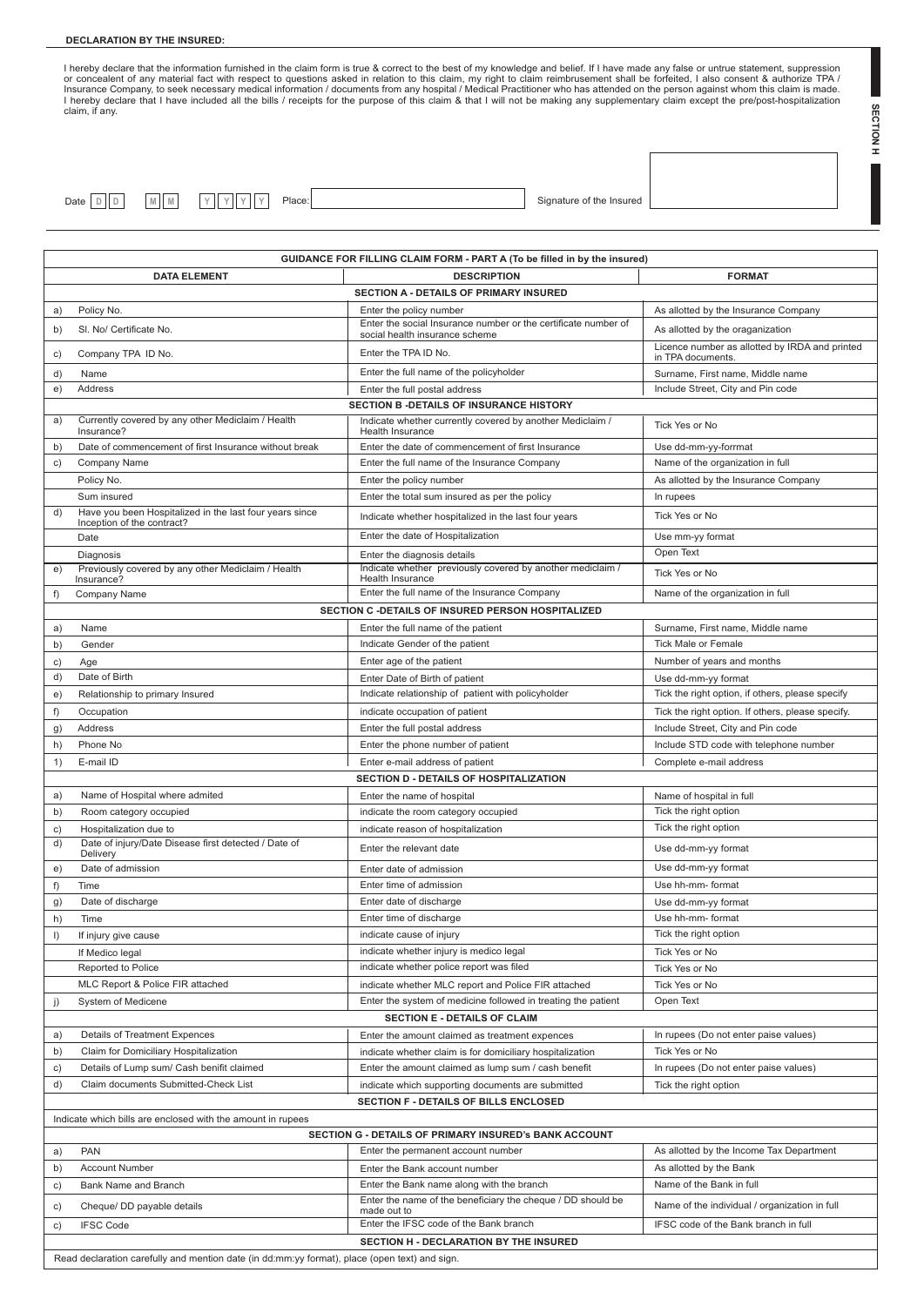## **DECLARATION BY THE INSURED:**

I hereby declare that the information furnished in the claim form is true & correct to the best of my knowledge and belief. If I have made any false or untrue statement, suppression<br>or concealent of any material fact with claim, if any.

**SECTION H SECTION H**

L

| Date DID |  |  | MM | I Y | V | V | Y |  |
|----------|--|--|----|-----|---|---|---|--|

**Date:** Place: **D D D D C** *M Signature of the Insured* 

|         | GUIDANCE FOR FILLING CLAIM FORM - PART A (To be filled in by the insured)                                            |                                                                                                  |                                                                     |  |  |  |
|---------|----------------------------------------------------------------------------------------------------------------------|--------------------------------------------------------------------------------------------------|---------------------------------------------------------------------|--|--|--|
|         | <b>DATA ELEMENT</b>                                                                                                  | <b>DESCRIPTION</b>                                                                               | <b>FORMAT</b>                                                       |  |  |  |
|         |                                                                                                                      | SECTION A - DETAILS OF PRIMARY INSURED                                                           |                                                                     |  |  |  |
| a)      | Policy No.                                                                                                           | Enter the policy number                                                                          | As allotted by the Insurance Company                                |  |  |  |
| b)      | SI. No/ Certificate No.                                                                                              | Enter the social Insurance number or the certificate number of<br>social health insurance scheme | As allotted by the oraganization                                    |  |  |  |
| c)      | Company TPA ID No.                                                                                                   | Enter the TPA ID No.                                                                             | Licence number as allotted by IRDA and printed<br>in TPA documents. |  |  |  |
| d)      | Name                                                                                                                 | Enter the full name of the policyholder                                                          | Surname, First name, Middle name                                    |  |  |  |
| e)      | Address                                                                                                              | Enter the full postal address                                                                    | Include Street, City and Pin code                                   |  |  |  |
|         |                                                                                                                      | SECTION B - DETAILS OF INSURANCE HISTORY                                                         |                                                                     |  |  |  |
| a)      | Currently covered by any other Mediclaim / Health<br>Insurance?                                                      | Indicate whether currently covered by another Mediclaim /<br>Health Insurance                    | Tick Yes or No                                                      |  |  |  |
| b)      | Date of commencement of first Insurance without break                                                                | Enter the date of commencement of first Insurance                                                | Use dd-mm-yy-forrmat                                                |  |  |  |
| c)      | Company Name                                                                                                         | Enter the full name of the Insurance Company                                                     | Name of the organization in full                                    |  |  |  |
|         | Policy No.                                                                                                           | Enter the policy number                                                                          | As allotted by the Insurance Company                                |  |  |  |
|         | Sum insured                                                                                                          | Enter the total sum insured as per the policy                                                    | In rupees                                                           |  |  |  |
| d)      | Have you been Hospitalized in the last four years since<br>Inception of the contract?                                | Indicate whether hospitalized in the last four years                                             | Tick Yes or No                                                      |  |  |  |
|         | Date                                                                                                                 | Enter the date of Hospitalization                                                                | Use mm-yy format                                                    |  |  |  |
|         | Diagnosis                                                                                                            | Enter the diagnosis details                                                                      | Open Text                                                           |  |  |  |
| e)      | Previously covered by any other Mediclaim / Health<br>Insurance?                                                     | Indicate whether previously covered by another mediclaim /<br>Health Insurance                   | Tick Yes or No                                                      |  |  |  |
| f)      | Company Name                                                                                                         | Enter the full name of the Insurance Company                                                     | Name of the organization in full                                    |  |  |  |
|         |                                                                                                                      | SECTION C -DETAILS OF INSURED PERSON HOSPITALIZED                                                |                                                                     |  |  |  |
| a)      | Name                                                                                                                 | Enter the full name of the patient                                                               | Surname, First name, Middle name                                    |  |  |  |
| b)      | Gender                                                                                                               | Indicate Gender of the patient                                                                   | <b>Tick Male or Female</b>                                          |  |  |  |
| c)      | Age                                                                                                                  | Enter age of the patient                                                                         | Number of years and months                                          |  |  |  |
| d)      | Date of Birth                                                                                                        | Enter Date of Birth of patient                                                                   | Use dd-mm-yy format                                                 |  |  |  |
| e)      | Relationship to primary Insured                                                                                      | Indicate relationship of patient with policyholder                                               | Tick the right option, if others, please specify                    |  |  |  |
| f)      | Occupation                                                                                                           | indicate occupation of patient                                                                   | Tick the right option. If others, please specify.                   |  |  |  |
| g)      | Address                                                                                                              | Enter the full postal address                                                                    | Include Street, City and Pin code                                   |  |  |  |
| h)      | Phone No                                                                                                             | Enter the phone number of patient                                                                | Include STD code with telephone number                              |  |  |  |
| 1)      | E-mail ID                                                                                                            | Enter e-mail address of patient                                                                  | Complete e-mail address                                             |  |  |  |
|         |                                                                                                                      | SECTION D - DETAILS OF HOSPITALIZATION                                                           |                                                                     |  |  |  |
| a)      | Name of Hospital where admited                                                                                       | Enter the name of hospital                                                                       | Name of hospital in full                                            |  |  |  |
| b)      | Room category occupied                                                                                               | indicate the room category occupied                                                              | Tick the right option                                               |  |  |  |
| c)      | Hospitalization due to                                                                                               | indicate reason of hospitalization                                                               | Tick the right option                                               |  |  |  |
| d)      | Date of injury/Date Disease first detected / Date of<br>Delivery                                                     | Enter the relevant date                                                                          | Use dd-mm-yy format                                                 |  |  |  |
| e)      | Date of admission                                                                                                    | Enter date of admission                                                                          | Use dd-mm-yy format                                                 |  |  |  |
| f)      | Time                                                                                                                 | Enter time of admission                                                                          | Use hh-mm- format                                                   |  |  |  |
| g)      | Date of discharge                                                                                                    | Enter date of discharge                                                                          | Use dd-mm-yy format                                                 |  |  |  |
| h)      | Time                                                                                                                 | Enter time of discharge                                                                          | Use hh-mm- format                                                   |  |  |  |
| $\vert$ | If injury give cause                                                                                                 | indicate cause of injury                                                                         | Tick the right option                                               |  |  |  |
|         | If Medico legal                                                                                                      | indicate whether injury is medico legal                                                          | Tick Yes or No                                                      |  |  |  |
|         | Reported to Police                                                                                                   | indicate whether police report was filed                                                         | Tick Yes or No                                                      |  |  |  |
|         | MLC Report & Police FIR attached                                                                                     | indicate whether MLC report and Police FIR attached                                              | Tick Yes or No                                                      |  |  |  |
| j)      | System of Medicene                                                                                                   | Enter the system of medicine followed in treating the patient                                    | Open Text                                                           |  |  |  |
|         | <b>SECTION E - DETAILS OF CLAIM</b>                                                                                  |                                                                                                  |                                                                     |  |  |  |
| a)      | Details of Treatment Expences                                                                                        | Enter the amount claimed as treatment expences                                                   | In rupees (Do not enter paise values)                               |  |  |  |
| b)      | Claim for Domiciliary Hospitalization                                                                                | indicate whether claim is for domiciliary hospitalization                                        | Tick Yes or No                                                      |  |  |  |
| c)      | Details of Lump sum/ Cash benifit claimed                                                                            | Enter the amount claimed as lump sum / cash benefit                                              | In rupees (Do not enter paise values)                               |  |  |  |
| d)      | Claim documents Submitted-Check List                                                                                 | indicate which supporting documents are submitted                                                | Tick the right option                                               |  |  |  |
|         |                                                                                                                      | SECTION F - DETAILS OF BILLS ENCLOSED                                                            |                                                                     |  |  |  |
|         |                                                                                                                      |                                                                                                  |                                                                     |  |  |  |
|         | Indicate which bills are enclosed with the amount in rupees<br>SECTION G - DETAILS OF PRIMARY INSURED's BANK ACCOUNT |                                                                                                  |                                                                     |  |  |  |
|         | <b>PAN</b>                                                                                                           | Enter the permanent account number                                                               | As allotted by the Income Tax Department                            |  |  |  |
| a)      |                                                                                                                      |                                                                                                  |                                                                     |  |  |  |
| b)      | <b>Account Number</b>                                                                                                | Enter the Bank account number                                                                    | As allotted by the Bank                                             |  |  |  |
| c)      | Bank Name and Branch                                                                                                 | Enter the Bank name along with the branch                                                        | Name of the Bank in full                                            |  |  |  |
| c)      | Cheque/ DD payable details                                                                                           | Enter the name of the beneficiary the cheque / DD should be<br>made out to                       | Name of the individual / organization in full                       |  |  |  |
| c)      | <b>IFSC Code</b>                                                                                                     | Enter the IFSC code of the Bank branch                                                           | IFSC code of the Bank branch in full                                |  |  |  |
|         |                                                                                                                      | SECTION H - DECLARATION BY THE INSURED                                                           |                                                                     |  |  |  |
|         | Read declaration carefully and mention date (in dd:mm:yy format), place (open text) and sign.                        |                                                                                                  |                                                                     |  |  |  |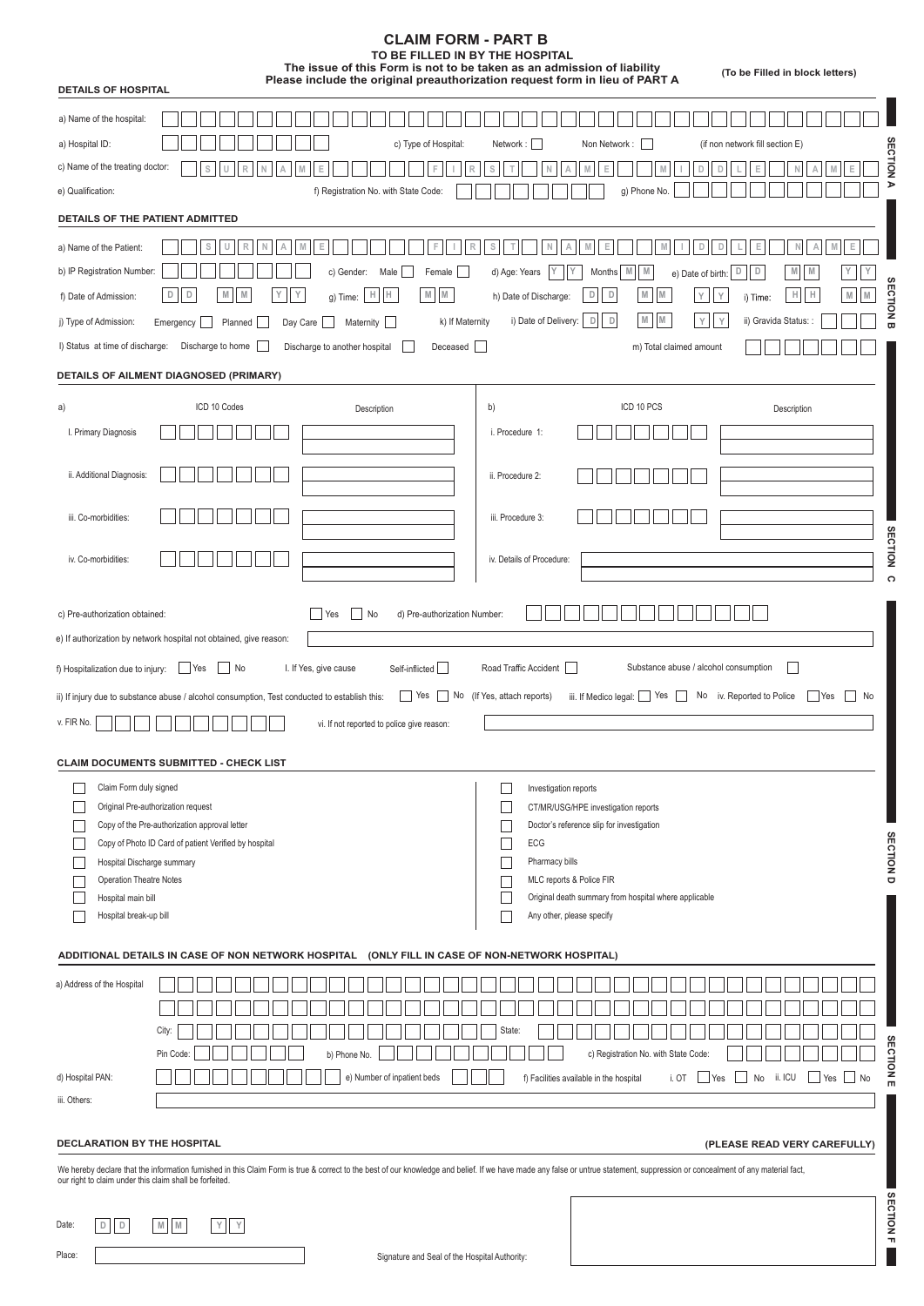| <b>CLAIM FORM - PART B</b><br>TO BE FILLED IN BY THE HOSPITAL<br>The issue of this Form is not to be taken as an admission of liability                                                                                                                                                                                                                                                                                            | (To be Filled in block letters)                                                                                                                                                                                                                                                                                                                         |
|------------------------------------------------------------------------------------------------------------------------------------------------------------------------------------------------------------------------------------------------------------------------------------------------------------------------------------------------------------------------------------------------------------------------------------|---------------------------------------------------------------------------------------------------------------------------------------------------------------------------------------------------------------------------------------------------------------------------------------------------------------------------------------------------------|
| Please include the original preauthorization request form in lieu of PART A<br><b>DETAILS OF HOSPITAL</b>                                                                                                                                                                                                                                                                                                                          |                                                                                                                                                                                                                                                                                                                                                         |
| a) Name of the hospital:<br>a) Hospital ID:<br>c) Type of Hospital:<br>c) Name of the treating doctor:<br>Е<br>e) Qualification:<br>f) Registration No. with State Code:                                                                                                                                                                                                                                                           | Non Network:<br>(if non network fill section E)<br>Network:<br>g<br>S<br>D<br>D<br>⋗<br>g) Phone No.                                                                                                                                                                                                                                                    |
| DETAILS OF THE PATIENT ADMITTED                                                                                                                                                                                                                                                                                                                                                                                                    |                                                                                                                                                                                                                                                                                                                                                         |
| s<br>R<br>Ε<br>a) Name of the Patient:<br>b) IP Registration Number:<br>c) Gender:<br>Female<br>Male  <br>$M$ $M$<br>H<br>D<br>D<br>M<br>M<br>Υ<br>Н<br>f) Date of Admission:<br>g) Time:<br>j) Type of Admission:<br>k) If Maternity<br>Emergency<br>Planned<br>Day Care<br>Maternity<br>I) Status at time of discharge: Discharge to home<br>Discharge to another hospital<br>Deceased<br>DETAILS OF AILMENT DIAGNOSED (PRIMARY) | D<br>D<br>S<br>N<br>M<br>Е<br>E<br>M<br>D<br>D<br>M<br>d) Age: Years<br>Υ<br>M<br>M<br>Months<br>e) Date of birth:<br>${\mathbb M}$<br>D<br>M<br>н<br>D<br>Н<br>h) Date of Discharge:<br>Y<br>M<br>M<br>Y<br>i) Time:<br>g<br>$\mathbbmss{M}$<br>$\mathbb D$<br>D<br>i) Date of Delivery:<br>ii) Gravida Status: :<br>Υ<br>Y<br>m) Total claimed amount |
|                                                                                                                                                                                                                                                                                                                                                                                                                                    | ICD 10 PCS                                                                                                                                                                                                                                                                                                                                              |
| ICD 10 Codes<br>a)<br>Description<br>I. Primary Diagnosis<br>ii. Additional Diagnosis:                                                                                                                                                                                                                                                                                                                                             | b)<br>Description<br>i. Procedure 1:<br>ii. Procedure 2:                                                                                                                                                                                                                                                                                                |
| iii. Co-morbidities:                                                                                                                                                                                                                                                                                                                                                                                                               | iii. Procedure 3:                                                                                                                                                                                                                                                                                                                                       |
| iv. Co-morbidities:                                                                                                                                                                                                                                                                                                                                                                                                                | <b>SECTION</b><br>iv. Details of Procedure:<br>$\Omega$                                                                                                                                                                                                                                                                                                 |
| No<br>c) Pre-authorization obtained:<br>d) Pre-authorization Number:<br>  Yes<br>e) If authorization by network hospital not obtained, give reason:<br>f) Hospitalization due to injury: Two Yes<br>$\Box$ No<br>I. If Yes, give cause<br>Self-inflicted                                                                                                                                                                           | Substance abuse / alcohol consumption<br>Road Traffic Accident                                                                                                                                                                                                                                                                                          |
| Yes<br>ii) If injury due to substance abuse / alcohol consumption, Test conducted to establish this:<br>$v.$ FIR No. $\boxed{\phantom{0}}$<br>vi. If not reported to police give reason:                                                                                                                                                                                                                                           | No (If Yes, attach reports)<br>iii. If Medico legal:     Yes<br>No iv. Reported to Police<br><b>Yes</b><br>No                                                                                                                                                                                                                                           |
| <b>CLAIM DOCUMENTS SUBMITTED - CHECK LIST</b>                                                                                                                                                                                                                                                                                                                                                                                      |                                                                                                                                                                                                                                                                                                                                                         |
| Claim Form duly signed<br>Original Pre-authorization request<br>Copy of the Pre-authorization approval letter<br>Copy of Photo ID Card of patient Verified by hospital<br>Hospital Discharge summary<br><b>Operation Theatre Notes</b><br>Hospital main bill<br>Hospital break-up bill                                                                                                                                             | Investigation reports<br>CT/MR/USG/HPE investigation reports<br>Doctor's reference slip for investigation<br><b>SECTION</b><br>ECG<br>Pharmacy bills<br>Ō<br>MLC reports & Police FIR<br>Original death summary from hospital where applicable<br>Any other, please specify                                                                             |
| ADDITIONAL DETAILS IN CASE OF NON NETWORK HOSPITAL                                                                                                                                                                                                                                                                                                                                                                                 | (ONLY FILL IN CASE OF NON-NETWORK HOSPITAL)                                                                                                                                                                                                                                                                                                             |
| a) Address of the Hospital<br>City:<br>Pin Code<br>b) Phone No.                                                                                                                                                                                                                                                                                                                                                                    | State:<br>c) Registration No. with State Code:<br>lon                                                                                                                                                                                                                                                                                                   |
| d) Hospital PAN:<br>e) Number of inpatient beds                                                                                                                                                                                                                                                                                                                                                                                    | ii. ICU<br>No<br>Yes No<br>f) Facilities available in the hospital<br>i. OT<br><b>Yes</b><br>m                                                                                                                                                                                                                                                          |
| iii. Others:                                                                                                                                                                                                                                                                                                                                                                                                                       |                                                                                                                                                                                                                                                                                                                                                         |
| <b>DECLARATION BY THE HOSPITAL</b>                                                                                                                                                                                                                                                                                                                                                                                                 | (PLEASE READ VERY CAREFULLY)                                                                                                                                                                                                                                                                                                                            |
| We hereby declare that the information furnished in this Claim Form is true & correct to the best of our knowledge and belief. If we have made any false or untrue statement, suppression or concealment of any material fact,<br>our right to claim under this claim shall be forfeited.                                                                                                                                          |                                                                                                                                                                                                                                                                                                                                                         |
| $\mathbbmss{M}$ $\blacksquare$<br>$\mathsf{Y}=\mathsf{Y}$<br>Date:<br>$\mathbb D$<br>D                                                                                                                                                                                                                                                                                                                                             | ECTION                                                                                                                                                                                                                                                                                                                                                  |

 $ONE$